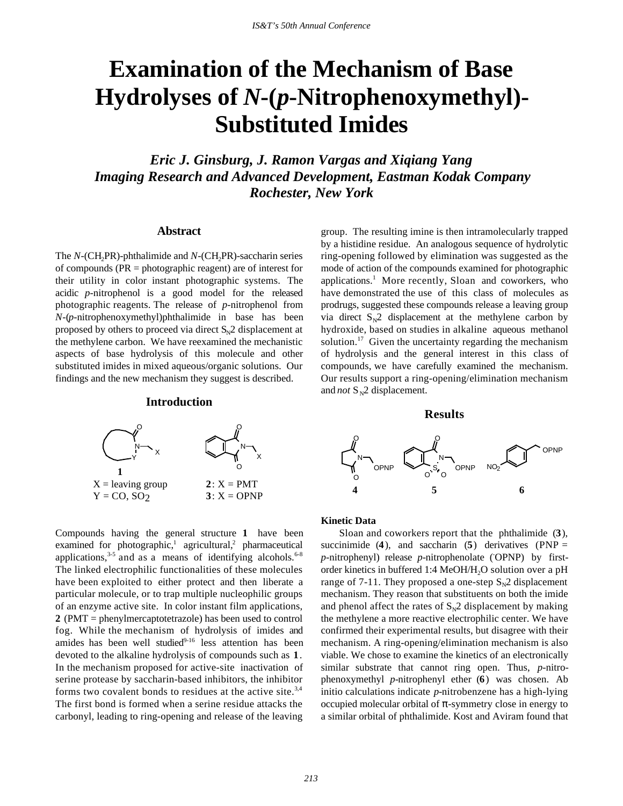# **Examination of the Mechanism of Base Hydrolyses of** *N***-(***p***-Nitrophenoxymethyl)- Substituted Imides**

*Eric J. Ginsburg, J. Ramon Vargas and Xiqiang Yang Imaging Research and Advanced Development, Eastman Kodak Company Rochester, New York*

#### **Abstract**

The *N*-(CH<sub>2</sub>PR)-phthalimide and *N*-(CH<sub>2</sub>PR)-saccharin series of compounds (PR = photographic reagent) are of interest for their utility in color instant photographic systems. The acidic *p*-nitrophenol is a good model for the released photographic reagents. The release of *p*-nitrophenol from *N*-(*p*-nitrophenoxymethyl)phthalimide in base has been proposed by others to proceed via direct  $S_N^2$  displacement at the methylene carbon. We have reexamined the mechanistic aspects of base hydrolysis of this molecule and other substituted imides in mixed aqueous/organic solutions. Our findings and the new mechanism they suggest is described.

#### **Introduction**



Compounds having the general structure **1** have been examined for photographic,<sup>1</sup> agricultural,<sup>2</sup> pharmaceutical applications,  $3-5$  and as a means of identifying alcohols.  $6-8$ The linked electrophilic functionalities of these molecules have been exploited to either protect and then liberate a particular molecule, or to trap multiple nucleophilic groups of an enzyme active site. In color instant film applications, **2** (PMT = phenylmercaptotetrazole) has been used to control fog. While the mechanism of hydrolysis of imides and amides has been well studied $9-16$  less attention has been devoted to the alkaline hydrolysis of compounds such as **1**. In the mechanism proposed for active-site inactivation of serine protease by saccharin-based inhibitors, the inhibitor forms two covalent bonds to residues at the active site.<sup>3,4</sup> The first bond is formed when a serine residue attacks the carbonyl, leading to ring-opening and release of the leaving

group. The resulting imine is then intramolecularly trapped by a histidine residue. An analogous sequence of hydrolytic ring-opening followed by elimination was suggested as the mode of action of the compounds examined for photographic applications.<sup>1</sup> More recently, Sloan and coworkers, who have demonstrated the use of this class of molecules as prodrugs, suggested these compounds release a leaving group via direct  $S_N^2$  displacement at the methylene carbon by hydroxide, based on studies in alkaline aqueous methanol solution.<sup>17</sup> Given the uncertainty regarding the mechanism of hydrolysis and the general interest in this class of compounds, we have carefully examined the mechanism. Our results support a ring-opening/elimination mechanism and *not*  $S_N$ 2 displacement.

## **Results**



#### **Kinetic Data**

Sloan and coworkers report that the phthalimide (**3**), succinimide  $(4)$ , and saccharin  $(5)$  derivatives  $(PNP =$ p-nitrophenyl) release p-nitrophenolate (OPNP) by firstorder kinetics in buffered 1:4 MeOH/H<sub>2</sub>O solution over a pH range of 7-11. They proposed a one-step  $S_N^2$  displacement mechanism. They reason that substituents on both the imide and phenol affect the rates of  $S_N^2$  displacement by making the methylene a more reactive electrophilic center. We have confirmed their experimental results, but disagree with their mechanism. A ring-opening/elimination mechanism is also viable. We chose to examine the kinetics of an electronically similar substrate that cannot ring open. Thus, *p*-nitrophenoxymethyl *p-*nitrophenyl ether (**6**) was chosen. Ab initio calculations indicate *p-*nitrobenzene has a high-lying occupied molecular orbital of  $\pi$ -symmetry close in energy to a similar orbital of phthalimide. Kost and Aviram found that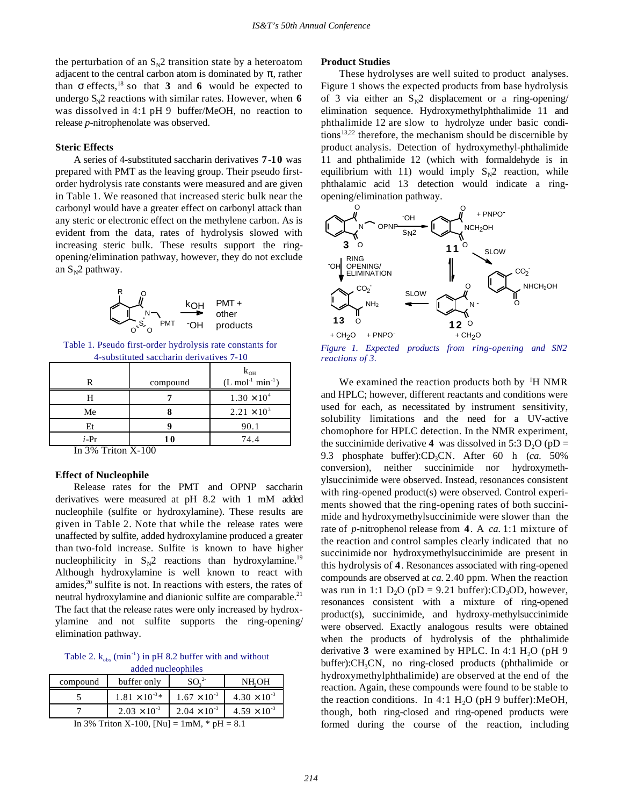the perturbation of an  $S_N2$  transition state by a heteroatom adjacent to the central carbon atom is dominated by  $\pi$ , rather than  $\sigma$  effects,<sup>18</sup> so that **3** and 6 would be expected to undergo  $S_N2$  reactions with similar rates. However, when 6 was dissolved in 4:1 pH 9 buffer/MeOH, no reaction to release *p-*nitrophenolate was observed.

### **Steric Effects**

A series of 4-substituted saccharin derivatives **7**-**10** was prepared with PMT as the leaving group. Their pseudo firstorder hydrolysis rate constants were measured and are given in Table 1. We reasoned that increased steric bulk near the carbonyl would have a greater effect on carbonyl attack than any steric or electronic effect on the methylene carbon. As is evident from the data, rates of hydrolysis slowed with increasing steric bulk. These results support the ringopening/elimination pathway, however, they do not exclude an  $S_N^2$  pathway.



Table 1. Pseudo first-order hydrolysis rate constants for 4-substituted saccharin derivatives 7-10

| $k_{OH}$                                                                                                                                                                                                                                                                                                     |
|--------------------------------------------------------------------------------------------------------------------------------------------------------------------------------------------------------------------------------------------------------------------------------------------------------------|
| $(L \text{ mol}^{-1} \text{ min}^{-1})$                                                                                                                                                                                                                                                                      |
| $1.30 \times 10^{4}$                                                                                                                                                                                                                                                                                         |
| $2.21 \times 10^{3}$                                                                                                                                                                                                                                                                                         |
| 90.1                                                                                                                                                                                                                                                                                                         |
| 74.4                                                                                                                                                                                                                                                                                                         |
| compound<br>$\mathbf{I}$ and $\mathbf{I}$ and $\mathbf{I}$ and $\mathbf{I}$ and $\mathbf{I}$ and $\mathbf{I}$ and $\mathbf{I}$ and $\mathbf{I}$ and $\mathbf{I}$ and $\mathbf{I}$ and $\mathbf{I}$ and $\mathbf{I}$ and $\mathbf{I}$ and $\mathbf{I}$ and $\mathbf{I}$ and $\mathbf{I}$ and $\mathbf{I}$ and |

In 3% Triton X-100

#### **Effect of Nucleophile**

Release rates for the PMT and OPNP saccharin derivatives were measured at pH 8.2 with 1 mM added nucleophile (sulfite or hydroxylamine). These results are given in Table 2. Note that while the release rates were unaffected by sulfite, added hydroxylamine produced a greater than two-fold increase. Sulfite is known to have higher nucleophilicity in  $S_N2$  reactions than hydroxylamine.<sup>19</sup> Although hydroxylamine is well known to react with amides, $20$  sulfite is not. In reactions with esters, the rates of neutral hydroxylamine and dianionic sulfite are comparable.<sup>21</sup> The fact that the release rates were only increased by hydroxylamine and not sulfite supports the ring-opening/ elimination pathway.

Table 2.  $k_{obs}$  (min<sup>-1</sup>) in pH 8.2 buffer with and without added nucleophiles

| compound                                                      | buffer only             |                       | NH.OH                 |
|---------------------------------------------------------------|-------------------------|-----------------------|-----------------------|
|                                                               |                         |                       |                       |
|                                                               | $1.81 \times 10^{-3}$ * | $1.67 \times 10^{-3}$ | $4.30 \times 10^{-3}$ |
|                                                               | $2.03 \times 10^{-3}$   | $2.04 \times 10^{-3}$ | $4.59 \times 10^{-3}$ |
| $\sim$ $\sim$ $\sim$ $\sim$<br>.<br>$\cdots$<br>$\sim$ $\sim$ |                         |                       |                       |

In 3% Triton X-100, [Nu] =  $1 \text{mM}$ ,  $* \text{pH} = 8.1$ 

#### **Product Studies**

These hydrolyses are well suited to product analyses. Figure 1 shows the expected products from base hydrolysis of 3 via either an  $S_N2$  displacement or a ring-opening/ elimination sequence. Hydroxymethylphthalimide 11 and phthalimide 12 are slow to hydrolyze under basic conditions<sup>13,22</sup> therefore, the mechanism should be discernible by product analysis. Detection of hydroxymethyl-phthalimide 11 and phthalimide 12 (which with formaldehyde is in equilibrium with 11) would imply  $S_N^2$  reaction, while phthalamic acid 13 detection would indicate a ringopening/elimination pathway.



*Figure 1. Expected products from ring-opening and SN2 reactions of 3.*

We examined the reaction products both by  ${}^{1}H$  NMR and HPLC; however, different reactants and conditions were used for each, as necessitated by instrument sensitivity, solubility limitations and the need for a UV-active chomophore for HPLC detection. In the NMR experiment, the succinimide derivative **4** was dissolved in 5:3  $D_2O$  (pD = 9.3 phosphate buffer):CD<sub>3</sub>CN. After 60 h (*ca.* 50%) conversion), neither succinimide nor hydroxymethylsuccinimide were observed. Instead, resonances consistent with ring-opened product(s) were observed. Control experiments showed that the ring-opening rates of both succinimide and hydroxymethylsuccinimide were slower than the rate of *p*-nitrophenol release from **4**. A *ca.* 1:1 mixture of the reaction and control samples clearly indicated that no succinimide nor hydroxymethylsuccinimide are present in this hydrolysis of **4**. Resonances associated with ring-opened compounds are observed at *ca.* 2.40 ppm. When the reaction was run in 1:1 D<sub>2</sub>O ( $pD = 9.21$  buffer):CD<sub>3</sub>OD, however, resonances consistent with a mixture of ring-opened product(s), succinimide, and hydroxy-methylsuccinimide were observed. Exactly analogous results were obtained when the products of hydrolysis of the phthalimide derivative  $3$  were examined by HPLC. In 4:1 H<sub>2</sub>O (pH 9)  $buffer$ : $CH<sub>3</sub>CN$ , no ring-closed products (phthalimide or hydroxymethylphthalimide) are observed at the end of the reaction. Again, these compounds were found to be stable to the reaction conditions. In 4:1  $H<sub>2</sub>O$  (pH 9 buffer):MeOH, though, both ring-closed and ring-opened products were formed during the course of the reaction, including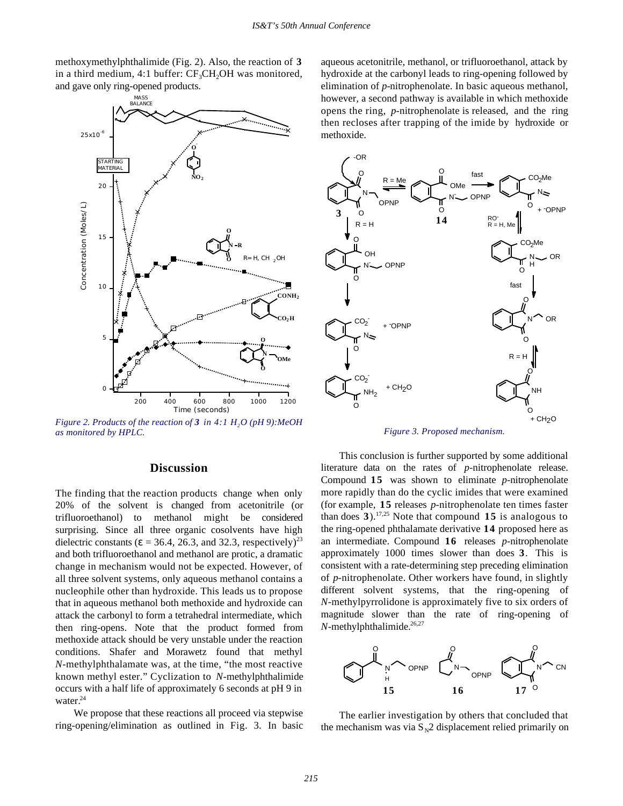methoxymethylphthalimide (Fig. 2). Also, the reaction of **3** in a third medium, 4:1 buffer:  $CF<sub>3</sub>CH<sub>2</sub>OH$  was monitored, and gave only ring-opened products.



*Figure 2. Products of the reaction of 3 in 4:1 H<sub>2</sub>O (pH 9):MeOH as monitored by HPLC.*

## **Discussion**

The finding that the reaction products change when only 20% of the solvent is changed from acetonitrile (or trifluoroethanol) to methanol might be considered surprising. Since all three organic cosolvents have high dielectric constants ( $\varepsilon$  = 36.4, 26.3, and 32.3, respectively)<sup>23</sup> and both trifluoroethanol and methanol are protic, a dramatic change in mechanism would not be expected. However, of all three solvent systems, only aqueous methanol contains a nucleophile other than hydroxide. This leads us to propose that in aqueous methanol both methoxide and hydroxide can attack the carbonyl to form a tetrahedral intermediate, which then ring-opens. Note that the product formed from methoxide attack should be very unstable under the reaction conditions. Shafer and Morawetz found that methyl *N*-methylphthalamate was, at the time, "the most reactive known methyl ester." Cyclization to *N*-methylphthalimide occurs with a half life of approximately 6 seconds at pH 9 in water.<sup>24</sup>

We propose that these reactions all proceed via stepwise ring-opening/elimination as outlined in Fig. 3. In basic

aqueous acetonitrile, methanol, or trifluoroethanol, attack by hydroxide at the carbonyl leads to ring-opening followed by elimination of *p-*nitrophenolate. In basic aqueous methanol, however, a second pathway is available in which methoxide opens the ring, *p*-nitrophenolate is released, and the ring then recloses after trapping of the imide by hydroxide or methoxide.



*Figure 3. Proposed mechanism.*

This conclusion is further supported by some additional literature data on the rates of *p*-nitrophenolate release. Compound **15** was shown to eliminate *p*-nitrophenolate more rapidly than do the cyclic imides that were examined (for example, **15** releases *p*-nitrophenolate ten times faster than does  $3$ ).<sup>17,25</sup> Note that compound  $15$  is analogous to the ring-opened phthalamate derivative **14** proposed here as an intermediate. Compound **16** releases *p*-nitrophenolate approximately 1000 times slower than does **3**. This is consistent with a rate-determining step preceding elimination of *p*-nitrophenolate. Other workers have found, in slightly different solvent systems, that the ring-opening of *N*-methylpyrrolidone is approximately five to six orders of magnitude slower than the rate of ring-opening of *N*-methylphthalimide.<sup>26,27</sup>



The earlier investigation by others that concluded that the mechanism was via  $S_N^2$  displacement relied primarily on